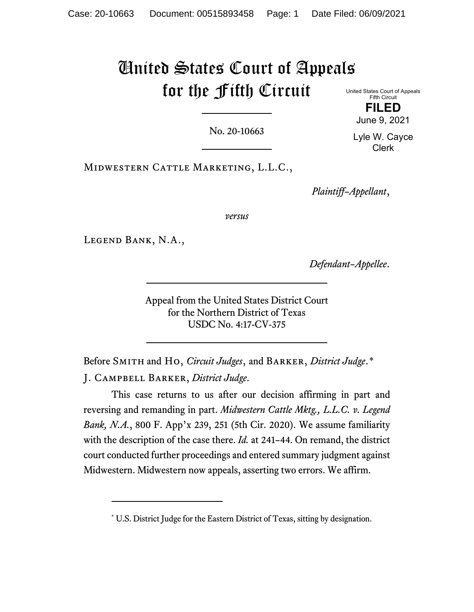## United States Court of Appeals for the Fifth Circuit

No. 20-10663

United States Court of Appeals Fifth Circuit **FILED**

June 9, 2021

Lyle W. Cayce Clerk

Midwestern Cattle Marketing, L.L.C.,

*Plaintiff–Appellant*,

*versus*

Legend Bank, N.A.,

*Defendant–Appellee*.

Appeal from the United States District Court for the Northern District of Texas USDC No. 4:17-CV-375

Before Smith and Ho, *Circuit Judges*, and Barker, *District Judge*.[\\*](#page-0-0) J. Campbell Barker, *District Judge*.

This case returns to us after our decision affirming in part and reversing and remanding in part. *Midwestern Cattle Mktg., L.L.C. v. Legend Bank, N.A.*, 800 F. App'x 239, 251 (5th Cir. 2020). We assume familiarity with the description of the case there. *Id.* at 241–44. On remand, the district court conducted further proceedings and entered summary judgment against Midwestern. Midwestern now appeals, asserting two errors. We affirm.

<span id="page-0-0"></span><sup>\*</sup> U.S. District Judge for the Eastern District of Texas, sitting by designation.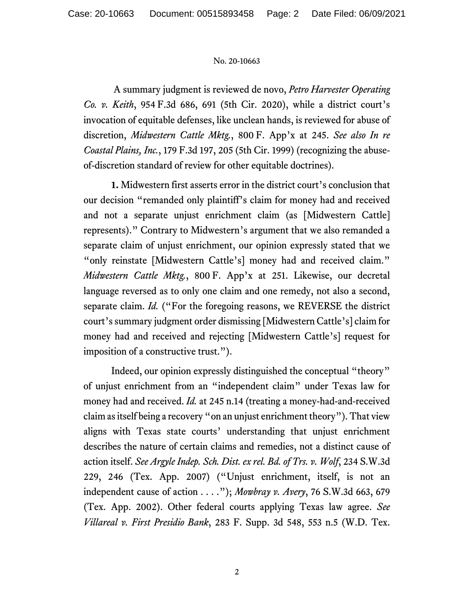## No. 20-10663

A summary judgment is reviewed de novo, *Petro Harvester Operating Co. v. Keith*, 954 F.3d 686, 691 (5th Cir. 2020), while a district court's invocation of equitable defenses, like unclean hands, is reviewed for abuse of discretion, *Midwestern Cattle Mktg.*, 800 F. App'x at 245. *See also In re Coastal Plains, Inc.*, 179 F.3d 197, 205 (5th Cir. 1999) (recognizing the abuseof-discretion standard of review for other equitable doctrines).

**1.** Midwestern first asserts error in the district court's conclusion that our decision "remanded only plaintiff's claim for money had and received and not a separate unjust enrichment claim (as [Midwestern Cattle] represents)." Contrary to Midwestern's argument that we also remanded a separate claim of unjust enrichment, our opinion expressly stated that we "only reinstate [Midwestern Cattle's] money had and received claim." *Midwestern Cattle Mktg.*, 800 F. App'x at 251. Likewise, our decretal language reversed as to only one claim and one remedy, not also a second, separate claim. *Id.* ("For the foregoing reasons, we REVERSE the district court's summary judgment order dismissing [Midwestern Cattle's] claim for money had and received and rejecting [Midwestern Cattle's] request for imposition of a constructive trust.").

Indeed, our opinion expressly distinguished the conceptual "theory" of unjust enrichment from an "independent claim" under Texas law for money had and received. *Id.* at 245 n.14 (treating a money-had-and-received claim as itself being a recovery "on an unjust enrichment theory"). That view aligns with Texas state courts' understanding that unjust enrichment describes the nature of certain claims and remedies, not a distinct cause of action itself. *See Argyle Indep. Sch. Dist. ex rel. Bd. of Trs. v. Wolf*, 234 S.W.3d 229, 246 (Tex. App. 2007) ("Unjust enrichment, itself, is not an independent cause of action . . . ."); *Mowbray v. Avery*, 76 S.W.3d 663, 679 (Tex. App. 2002). Other federal courts applying Texas law agree. *See Villareal v. First Presidio Bank*, 283 F. Supp. 3d 548, 553 n.5 (W.D. Tex.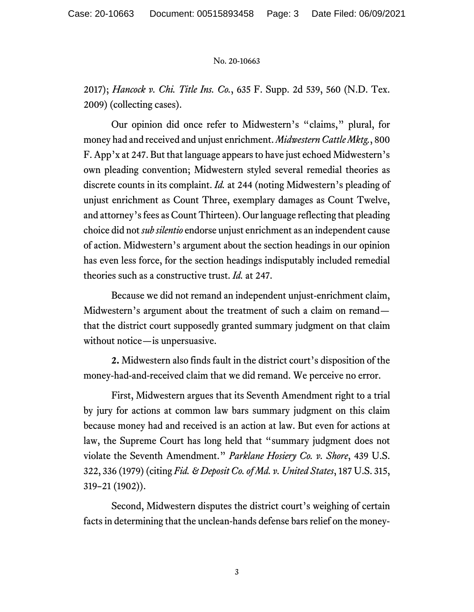## No. 20-10663

2017); *Hancock v. Chi. Title Ins. Co.*, 635 F. Supp. 2d 539, 560 (N.D. Tex. 2009) (collecting cases).

Our opinion did once refer to Midwestern's "claims," plural, for money had and received and unjust enrichment. *Midwestern Cattle Mktg.*, 800 F. App'x at 247. But that language appears to have just echoed Midwestern's own pleading convention; Midwestern styled several remedial theories as discrete counts in its complaint. *Id.* at 244 (noting Midwestern's pleading of unjust enrichment as Count Three, exemplary damages as Count Twelve, and attorney's fees as Count Thirteen). Our language reflecting that pleading choice did not *sub silentio* endorse unjust enrichment as an independent cause of action. Midwestern's argument about the section headings in our opinion has even less force, for the section headings indisputably included remedial theories such as a constructive trust. *Id.* at 247.

Because we did not remand an independent unjust-enrichment claim, Midwestern's argument about the treatment of such a claim on remand that the district court supposedly granted summary judgment on that claim without notice—is unpersuasive.

**2.** Midwestern also finds fault in the district court's disposition of the money-had-and-received claim that we did remand. We perceive no error.

First, Midwestern argues that its Seventh Amendment right to a trial by jury for actions at common law bars summary judgment on this claim because money had and received is an action at law. But even for actions at law, the Supreme Court has long held that "summary judgment does not violate the Seventh Amendment." *Parklane Hosiery Co. v. Shore*, 439 U.S. 322, 336 (1979) (citing *Fid. & Deposit Co.of Md. v. United States*, 187 U.S. 315, 319–21 (1902)).

Second, Midwestern disputes the district court's weighing of certain facts in determining that the unclean-hands defense bars relief on the money-